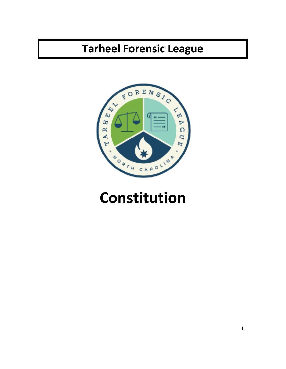## **Tarheel Forensic League**



# **Constitution**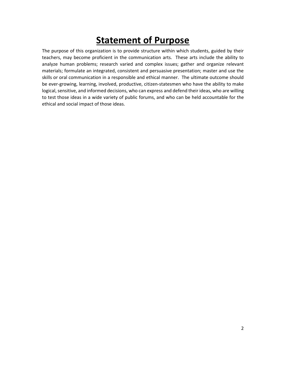### **Statement of Purpose**

The purpose of this organization is to provide structure within which students, guided by their teachers, may become proficient in the communication arts. These arts include the ability to analyze human problems; research varied and complex issues; gather and organize relevant materials; formulate an integrated, consistent and persuasive presentation; master and use the skills or oral communication in a responsible and ethical manner. The ultimate outcome should be ever-growing, learning, involved, productive, citizen-statesmen who have the ability to make logical, sensitive, and informed decisions, who can express and defend their ideas, who are willing to test those ideas in a wide variety of public forums, and who can be held accountable for the ethical and social impact of those ideas.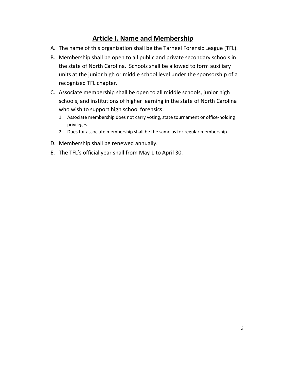#### **Article I. Name and Membership**

- A. The name of this organization shall be the Tarheel Forensic League (TFL).
- B. Membership shall be open to all public and private secondary schools in the state of North Carolina. Schools shall be allowed to form auxiliary units at the junior high or middle school level under the sponsorship of a recognized TFL chapter.
- C. Associate membership shall be open to all middle schools, junior high schools, and institutions of higher learning in the state of North Carolina who wish to support high school forensics.
	- 1. Associate membership does not carry voting, state tournament or office-holding privileges.
	- 2. Dues for associate membership shall be the same as for regular membership.
- D. Membership shall be renewed annually.
- E. The TFL's official year shall from May 1 to April 30.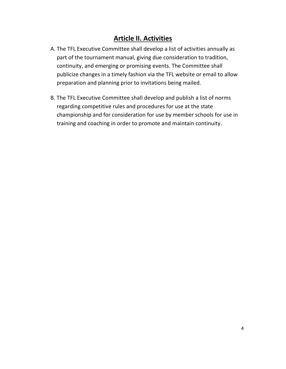#### **Article II. Activities**

- A. The TFL Executive Committee shall develop a list of activities annually as part of the tournament manual, giving due consideration to tradition, continuity, and emerging or promising events. The Committee shall publicize changes in a timely fashion via the TFL website or email to allow preparation and planning prior to invitations being mailed.
- B. The TFL Executive Committee shall develop and publish a list of norms regarding competitive rules and procedures for use at the state championship and for consideration for use by member schools for use in training and coaching in order to promote and maintain continuity.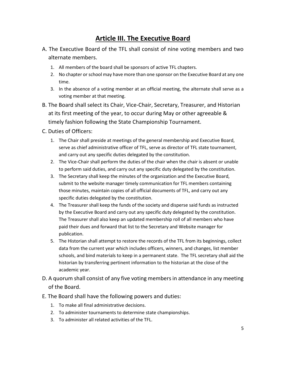#### **Article III. The Executive Board**

- A. The Executive Board of the TFL shall consist of nine voting members and two alternate members.
	- 1. All members of the board shall be sponsors of active TFL chapters.
	- 2. No chapter or school may have more than one sponsor on the Executive Board at any one time.
	- 3. In the absence of a voting member at an official meeting, the alternate shall serve as a voting member at that meeting.
- B. The Board shall select its Chair, Vice-Chair, Secretary, Treasurer, and Historian at its first meeting of the year, to occur during May or other agreeable & timely fashion following the State Championship Tournament.

#### C. Duties of Officers:

- 1. The Chair shall preside at meetings of the general membership and Executive Board, serve as chief administrative officer of TFL, serve as director of TFL state tournament, and carry out any specific duties delegated by the constitution.
- 2. The Vice-Chair shall perform the duties of the chair when the chair is absent or unable to perform said duties, and carry out any specific duty delegated by the constitution.
- 3. The Secretary shall keep the minutes of the organization and the Executive Board, submit to the website manager timely communication for TFL members containing those minutes, maintain copies of all official documents of TFL, and carry out any specific duties delegated by the constitution.
- 4. The Treasurer shall keep the funds of the society and disperse said funds as instructed by the Executive Board and carry out any specific duty delegated by the constitution. The Treasurer shall also keep an updated membership roll of all members who have paid their dues and forward that list to the Secretary and Website manager for publication.
- 5. The Historian shall attempt to restore the records of the TFL from its beginnings, collect data from the current year which includes officers, winners, and changes, list member schools, and bind materials to keep in a permanent state. The TFL secretary shall aid the historian by transferring pertinent information to the historian at the close of the academic year.
- D. A quorum shall consist of any five voting members in attendance in any meeting of the Board.
- E. The Board shall have the following powers and duties:
	- 1. To make all final administrative decisions.
	- 2. To administer tournaments to determine state championships.
	- 3. To administer all related activities of the TFL.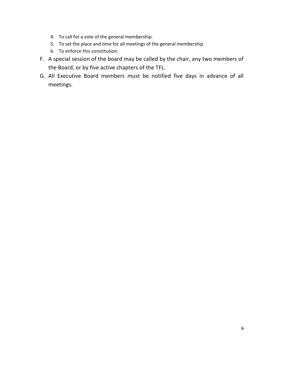- 4. To call for a vote of the general membership.
- 5. To set the place and time for all meetings of the general membership.
- 6. To enforce this constitution.
- F. A special session of the board may be called by the chair, any two members of the Board, or by five active chapters of the TFL.
- G. All Executive Board members must be notified five days in advance of all meetings.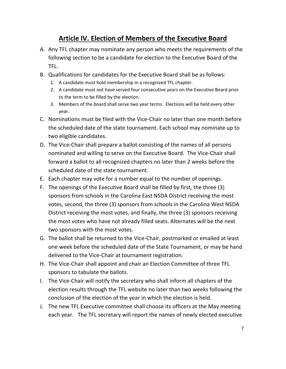#### **Article IV. Election of Members of the Executive Board**

- A. Any TFL chapter may nominate any person who meets the requirements of the following section to be a candidate for election to the Executive Board of the TFL.
- B. Qualifications for candidates for the Executive Board shall be as follows:
	- 1. A candidate must hold membership in a recognized TFL chapter.
	- 2. A candidate must not have served four consecutive years on the Executive Board prior to the term to be filled by the election.
	- 3. Members of the board shall serve two year terms. Elections will be held every other year.
- C. Nominations must be filed with the Vice-Chair no later than one month before the scheduled date of the state tournament. Each school may nominate up to two eligible candidates.
- D. The Vice-Chair shall prepare a ballot consisting of the names of all persons nominated and willing to serve on the Executive Board. The Vice-Chair shall forward a ballot to all recognized chapters no later than 2 weeks before the scheduled date of the state tournament.
- E. Each chapter may vote for a number equal to the number of openings.
- F. The openings of the Executive Board shall be filled by first, the three (3) sponsors from schools in the Carolina East NSDA District receiving the most votes, second, the three (3) sponsors from schools in the Carolina West NSDA District receiving the most votes, and finally, the three (3) sponsors receiving the most votes who have not already filled seats. Alternates will be the next two sponsors with the most votes.
- G. The ballot shall be returned to the Vice-Chair, postmarked or emailed at least one week before the scheduled date of the State Tournament, or may be hand delivered to the Vice-Chair at tournament registration.
- H. The Vice-Chair shall appoint and chair an Election Committee of three TFL sponsors to tabulate the ballots.
- I. The Vice-Chair will notify the secretary who shall inform all chapters of the election results through the TFL website no later than two weeks following the conclusion of the election of the year in which the election is held.
- J. The new TFL Executive committee shall choose its officers at the May meeting each year. The TFL secretary will report the names of newly elected executive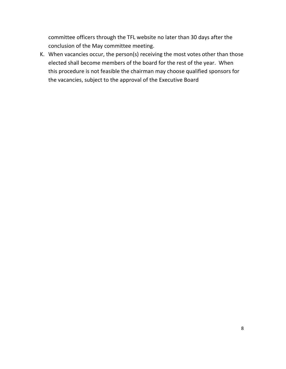committee officers through the TFL website no later than 30 days after the conclusion of the May committee meeting.

K. When vacancies occur, the person(s) receiving the most votes other than those elected shall become members of the board for the rest of the year. When this procedure is not feasible the chairman may choose qualified sponsors for the vacancies, subject to the approval of the Executive Board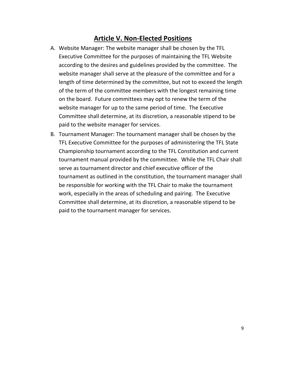#### **Article V. Non-Elected Positions**

- A. Website Manager: The website manager shall be chosen by the TFL Executive Committee for the purposes of maintaining the TFL Website according to the desires and guidelines provided by the committee. The website manager shall serve at the pleasure of the committee and for a length of time determined by the committee, but not to exceed the length of the term of the committee members with the longest remaining time on the board. Future committees may opt to renew the term of the website manager for up to the same period of time. The Executive Committee shall determine, at its discretion, a reasonable stipend to be paid to the website manager for services.
- B. Tournament Manager: The tournament manager shall be chosen by the TFL Executive Committee for the purposes of administering the TFL State Championship tournament according to the TFL Constitution and current tournament manual provided by the committee. While the TFL Chair shall serve as tournament director and chief executive officer of the tournament as outlined in the constitution, the tournament manager shall be responsible for working with the TFL Chair to make the tournament work, especially in the areas of scheduling and pairing. The Executive Committee shall determine, at its discretion, a reasonable stipend to be paid to the tournament manager for services.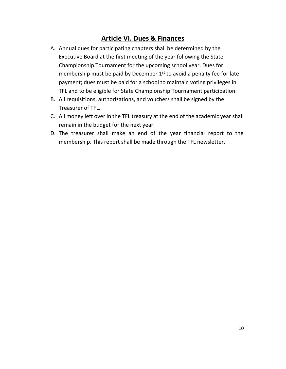#### **Article VI. Dues & Finances**

- A. Annual dues for participating chapters shall be determined by the Executive Board at the first meeting of the year following the State Championship Tournament for the upcoming school year. Dues for membership must be paid by December  $1<sup>st</sup>$  to avoid a penalty fee for late payment; dues must be paid for a school to maintain voting privileges in TFL and to be eligible for State Championship Tournament participation.
- B. All requisitions, authorizations, and vouchers shall be signed by the Treasurer of TFL.
- C. All money left over in the TFL treasury at the end of the academic year shall remain in the budget for the next year.
- D. The treasurer shall make an end of the year financial report to the membership. This report shall be made through the TFL newsletter.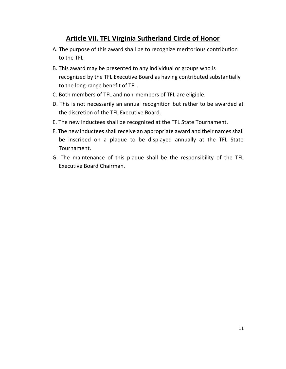#### **Article VII. TFL Virginia Sutherland Circle of Honor**

- A. The purpose of this award shall be to recognize meritorious contribution to the TFL.
- B. This award may be presented to any individual or groups who is recognized by the TFL Executive Board as having contributed substantially to the long-range benefit of TFL.
- C. Both members of TFL and non-members of TFL are eligible.
- D. This is not necessarily an annual recognition but rather to be awarded at the discretion of the TFL Executive Board.
- E. The new inductees shall be recognized at the TFL State Tournament.
- F. The new inductees shall receive an appropriate award and their names shall be inscribed on a plaque to be displayed annually at the TFL State Tournament.
- G. The maintenance of this plaque shall be the responsibility of the TFL Executive Board Chairman.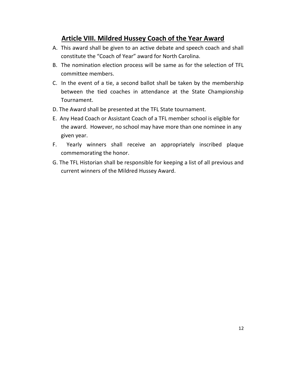#### **Article VIII. Mildred Hussey Coach of the Year Award**

- A. This award shall be given to an active debate and speech coach and shall constitute the "Coach of Year" award for North Carolina.
- B. The nomination election process will be same as for the selection of TFL committee members.
- C. In the event of a tie, a second ballot shall be taken by the membership between the tied coaches in attendance at the State Championship Tournament.
- D. The Award shall be presented at the TFL State tournament.
- E. Any Head Coach or Assistant Coach of a TFL member school is eligible for the award. However, no school may have more than one nominee in any given year.
- F. Yearly winners shall receive an appropriately inscribed plaque commemorating the honor.
- G. The TFL Historian shall be responsible for keeping a list of all previous and current winners of the Mildred Hussey Award.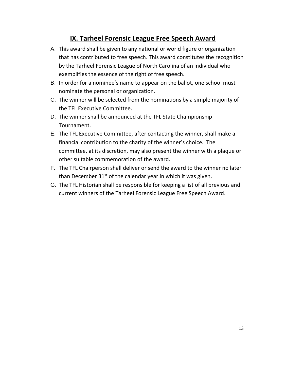#### **IX. Tarheel Forensic League Free Speech Award**

- A. This award shall be given to any national or world figure or organization that has contributed to free speech. This award constitutes the recognition by the Tarheel Forensic League of North Carolina of an individual who exemplifies the essence of the right of free speech.
- B. In order for a nominee's name to appear on the ballot, one school must nominate the personal or organization.
- C. The winner will be selected from the nominations by a simple majority of the TFL Executive Committee.
- D. The winner shall be announced at the TFL State Championship Tournament.
- E. The TFL Executive Committee, after contacting the winner, shall make a financial contribution to the charity of the winner's choice. The committee, at its discretion, may also present the winner with a plaque or other suitable commemoration of the award.
- F. The TFL Chairperson shall deliver or send the award to the winner no later than December  $31^{st}$  of the calendar year in which it was given.
- G. The TFL Historian shall be responsible for keeping a list of all previous and current winners of the Tarheel Forensic League Free Speech Award.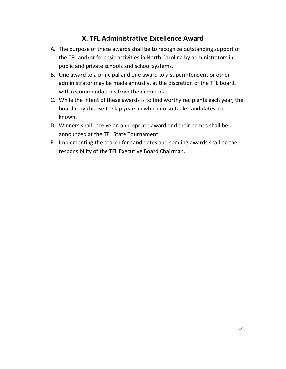#### **X. TFL Administrative Excellence Award**

- A. The purpose of these awards shall be to recognize outstanding support of the TFL and/or forensic activities in North Carolina by administrators in public and private schools and school systems.
- B. One award to a principal and one award to a superintendent or other administrator may be made annually, at the discretion of the TFL board, with recommendations from the members.
- C. While the intent of these awards is to find worthy recipients each year, the board may choose to skip years in which no suitable candidates are known.
- D. Winners shall receive an appropriate award and their names shall be announced at the TFL State Tournament.
- E. Implementing the search for candidates and sending awards shall be the responsibility of the TFL Executive Board Chairman.